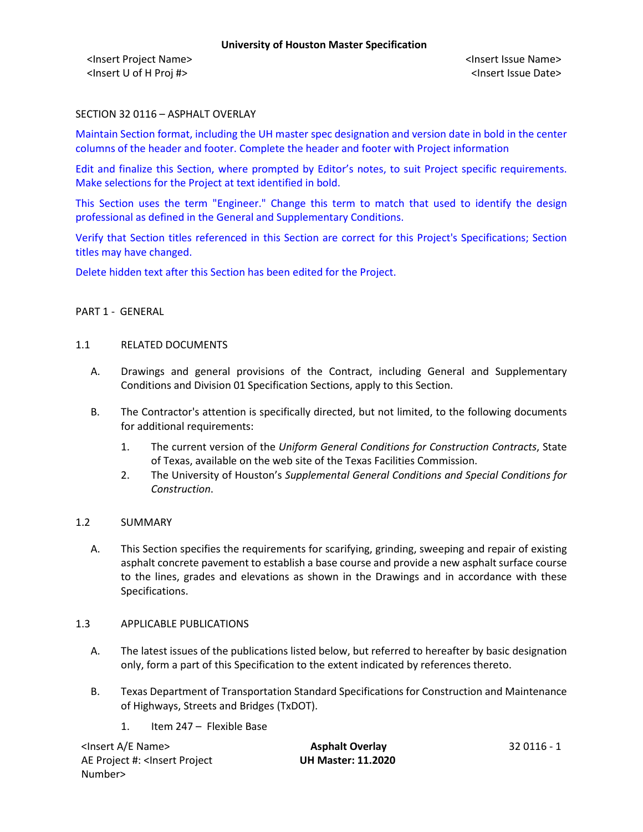<Insert Project Name> <Insert Issue Name> <Insert U of H Proj #> <Insert Issue Date>

## SECTION 32 0116 – ASPHALT OVERLAY

Maintain Section format, including the UH master spec designation and version date in bold in the center columns of the header and footer. Complete the header and footer with Project information

Edit and finalize this Section, where prompted by Editor's notes, to suit Project specific requirements. Make selections for the Project at text identified in bold.

This Section uses the term "Engineer." Change this term to match that used to identify the design professional as defined in the General and Supplementary Conditions.

Verify that Section titles referenced in this Section are correct for this Project's Specifications; Section titles may have changed.

Delete hidden text after this Section has been edited for the Project.

## PART 1 - GENERAL

#### 1.1 RELATED DOCUMENTS

- A. Drawings and general provisions of the Contract, including General and Supplementary Conditions and Division 01 Specification Sections, apply to this Section.
- B. The Contractor's attention is specifically directed, but not limited, to the following documents for additional requirements:
	- 1. The current version of the *Uniform General Conditions for Construction Contracts*, State of Texas, available on the web site of the Texas Facilities Commission.
	- 2. The University of Houston's *Supplemental General Conditions and Special Conditions for Construction*.

### 1.2 SUMMARY

A. This Section specifies the requirements for scarifying, grinding, sweeping and repair of existing asphalt concrete pavement to establish a base course and provide a new asphalt surface course to the lines, grades and elevations as shown in the Drawings and in accordance with these Specifications.

### 1.3 APPLICABLE PUBLICATIONS

- A. The latest issues of the publications listed below, but referred to hereafter by basic designation only, form a part of this Specification to the extent indicated by references thereto.
- B. Texas Department of Transportation Standard Specifications for Construction and Maintenance of Highways, Streets and Bridges (TxDOT).
	- 1. Item 247 Flexible Base

| <lnsert a="" e="" name=""></lnsert>                                                          | <b>Asphalt Overlay</b>    | 32 0116 - 1 |
|----------------------------------------------------------------------------------------------|---------------------------|-------------|
| AE Project #: <lnsert project<="" td=""><td><b>UH Master: 11.2020</b></td><td></td></lnsert> | <b>UH Master: 11.2020</b> |             |
| Number>                                                                                      |                           |             |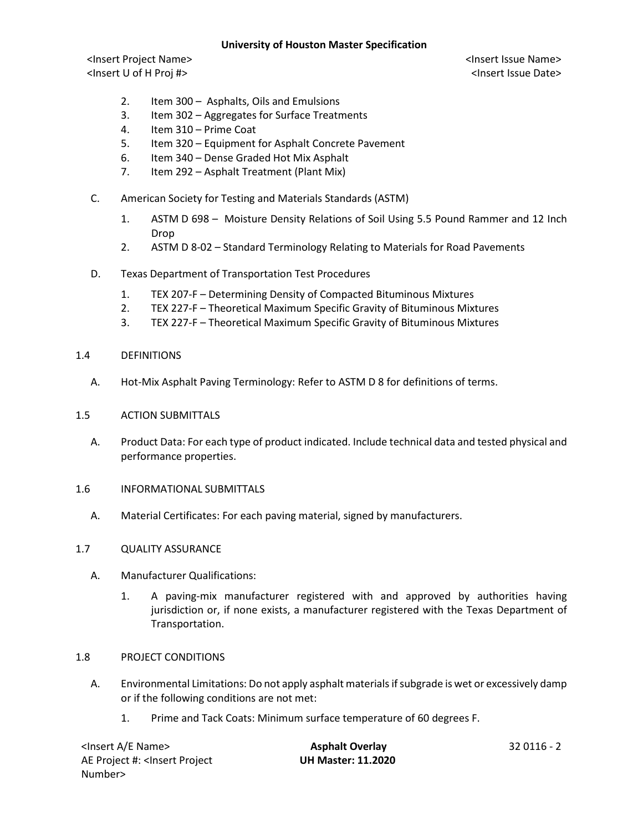<Insert Project Name> <Insert Issue Name> <Insert U of H Proj #> <Insert Issue Date>

- 2. Item 300 Asphalts, Oils and Emulsions
- 3. Item 302 Aggregates for Surface Treatments
- 4. Item 310 Prime Coat
- 5. Item 320 Equipment for Asphalt Concrete Pavement
- 6. Item 340 Dense Graded Hot Mix Asphalt
- 7. Item 292 Asphalt Treatment (Plant Mix)
- C. American Society for Testing and Materials Standards (ASTM)
	- 1. ASTM D 698 Moisture Density Relations of Soil Using 5.5 Pound Rammer and 12 Inch Drop
	- 2. ASTM D 8-02 Standard Terminology Relating to Materials for Road Pavements
- D. Texas Department of Transportation Test Procedures
	- 1. TEX 207-F Determining Density of Compacted Bituminous Mixtures
	- 2. TEX 227-F Theoretical Maximum Specific Gravity of Bituminous Mixtures
	- 3. TEX 227-F Theoretical Maximum Specific Gravity of Bituminous Mixtures
- 1.4 DEFINITIONS
	- A. Hot-Mix Asphalt Paving Terminology: Refer to ASTM D 8 for definitions of terms.
- 1.5 ACTION SUBMITTALS
	- A. Product Data: For each type of product indicated. Include technical data and tested physical and performance properties.
- 1.6 INFORMATIONAL SUBMITTALS
	- A. Material Certificates: For each paving material, signed by manufacturers.

### 1.7 QUALITY ASSURANCE

- A. Manufacturer Qualifications:
	- 1. A paving-mix manufacturer registered with and approved by authorities having jurisdiction or, if none exists, a manufacturer registered with the Texas Department of Transportation.
- 1.8 PROJECT CONDITIONS
	- A. Environmental Limitations: Do not apply asphalt materials if subgrade is wet or excessively damp or if the following conditions are not met:
		- 1. Prime and Tack Coats: Minimum surface temperature of 60 degrees F.

| <lnsert a="" e="" name=""></lnsert>                                                          | <b>Asphalt Overlay</b>    | 32 0116 - 2 |
|----------------------------------------------------------------------------------------------|---------------------------|-------------|
| AE Project #: <lnsert project<="" td=""><td><b>UH Master: 11.2020</b></td><td></td></lnsert> | <b>UH Master: 11.2020</b> |             |
| Number>                                                                                      |                           |             |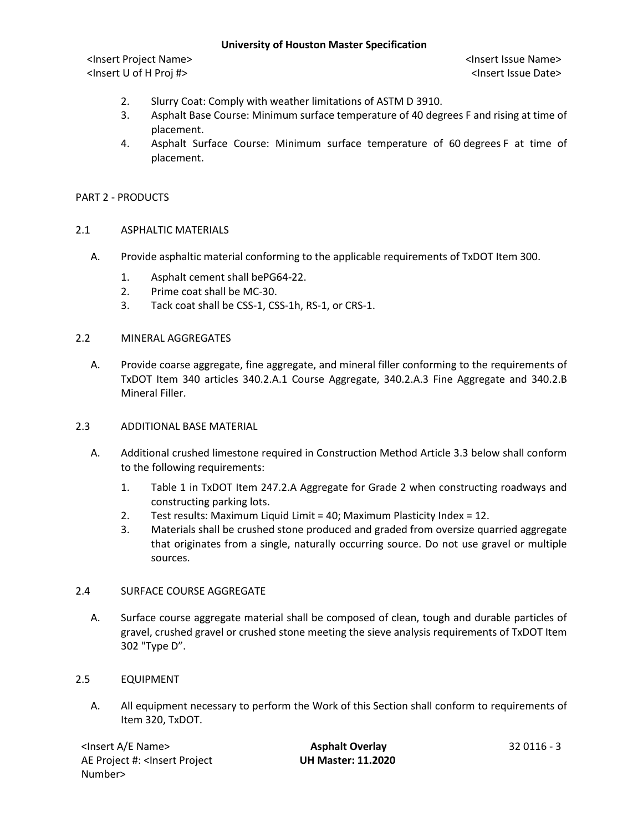<Insert Project Name> <Insert Issue Name> <Insert U of H Proj #> <Insert Issue Date>

- 2. Slurry Coat: Comply with weather limitations of ASTM D 3910.
- 3. Asphalt Base Course: Minimum surface temperature of 40 degrees F and rising at time of placement.
- 4. Asphalt Surface Course: Minimum surface temperature of 60 degrees F at time of placement.

### PART 2 - PRODUCTS

### 2.1 ASPHALTIC MATERIALS

- A. Provide asphaltic material conforming to the applicable requirements of TxDOT Item 300.
	- 1. Asphalt cement shall bePG64-22.
	- 2. Prime coat shall be MC-30.
	- 3. Tack coat shall be CSS-1, CSS-1h, RS-1, or CRS-1.

### 2.2 MINERAL AGGREGATES

A. Provide coarse aggregate, fine aggregate, and mineral filler conforming to the requirements of TxDOT Item 340 articles 340.2.A.1 Course Aggregate, 340.2.A.3 Fine Aggregate and 340.2.B Mineral Filler.

### 2.3 ADDITIONAL BASE MATERIAL

- A. Additional crushed limestone required in Construction Method Article 3.3 below shall conform to the following requirements:
	- 1. Table 1 in TxDOT Item 247.2.A Aggregate for Grade 2 when constructing roadways and constructing parking lots.
	- 2. Test results: Maximum Liquid Limit = 40; Maximum Plasticity Index = 12.
	- 3. Materials shall be crushed stone produced and graded from oversize quarried aggregate that originates from a single, naturally occurring source. Do not use gravel or multiple sources.

### 2.4 SURFACE COURSE AGGREGATE

A. Surface course aggregate material shall be composed of clean, tough and durable particles of gravel, crushed gravel or crushed stone meeting the sieve analysis requirements of TxDOT Item 302 "Type D".

## 2.5 EQUIPMENT

A. All equipment necessary to perform the Work of this Section shall conform to requirements of Item 320, TxDOT.

| <lnsert a="" e="" name=""></lnsert>                                                          | <b>Asphalt Overlay</b>    | 32 0116 - 3 |
|----------------------------------------------------------------------------------------------|---------------------------|-------------|
| AE Project #: <lnsert project<="" td=""><td><b>UH Master: 11.2020</b></td><td></td></lnsert> | <b>UH Master: 11.2020</b> |             |
| Number>                                                                                      |                           |             |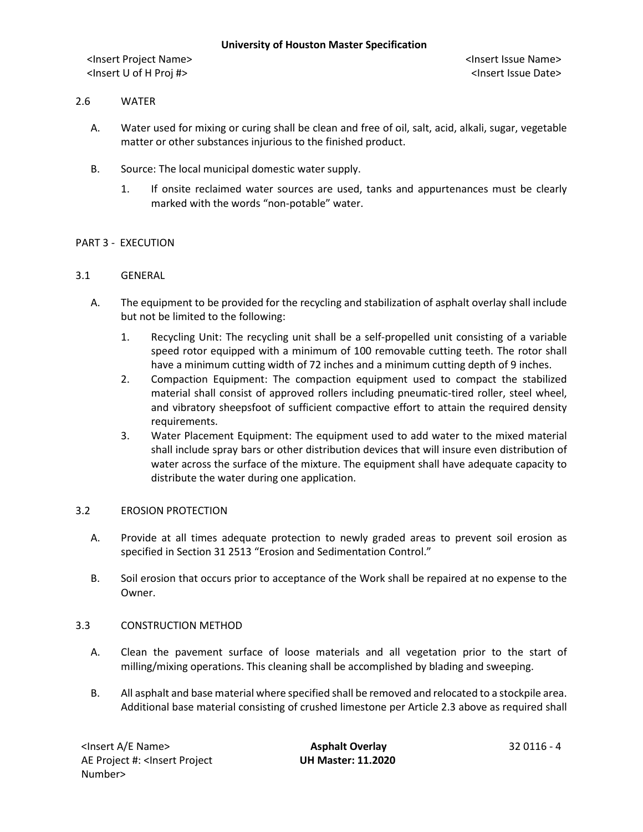<Insert Project Name> <Insert Issue Name> <Insert U of H Proj #> <Insert Issue Date>

### 2.6 WATER

- A. Water used for mixing or curing shall be clean and free of oil, salt, acid, alkali, sugar, vegetable matter or other substances injurious to the finished product.
- B. Source: The local municipal domestic water supply.
	- 1. If onsite reclaimed water sources are used, tanks and appurtenances must be clearly marked with the words "non-potable" water.

# PART 3 - EXECUTION

### 3.1 GENERAL

- A. The equipment to be provided for the recycling and stabilization of asphalt overlay shall include but not be limited to the following:
	- 1. Recycling Unit: The recycling unit shall be a self-propelled unit consisting of a variable speed rotor equipped with a minimum of 100 removable cutting teeth. The rotor shall have a minimum cutting width of 72 inches and a minimum cutting depth of 9 inches.
	- 2. Compaction Equipment: The compaction equipment used to compact the stabilized material shall consist of approved rollers including pneumatic-tired roller, steel wheel, and vibratory sheepsfoot of sufficient compactive effort to attain the required density requirements.
	- 3. Water Placement Equipment: The equipment used to add water to the mixed material shall include spray bars or other distribution devices that will insure even distribution of water across the surface of the mixture. The equipment shall have adequate capacity to distribute the water during one application.

### 3.2 EROSION PROTECTION

- A. Provide at all times adequate protection to newly graded areas to prevent soil erosion as specified in Section 31 2513 "Erosion and Sedimentation Control."
- B. Soil erosion that occurs prior to acceptance of the Work shall be repaired at no expense to the Owner.

### 3.3 CONSTRUCTION METHOD

- A. Clean the pavement surface of loose materials and all vegetation prior to the start of milling/mixing operations. This cleaning shall be accomplished by blading and sweeping.
- B. All asphalt and base material where specified shall be removed and relocated to a stockpile area. Additional base material consisting of crushed limestone per Article 2.3 above as required shall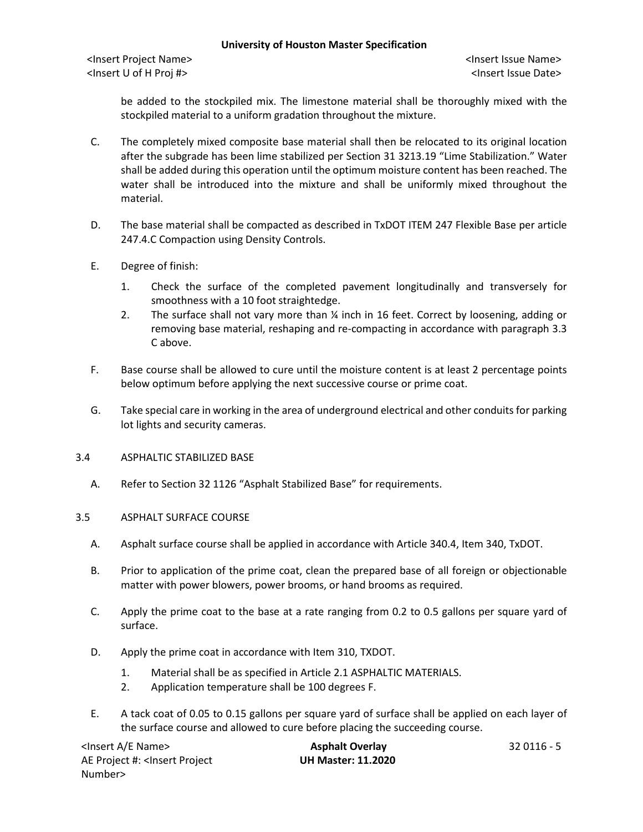<Insert Project Name> <Insert Issue Name> <Insert U of H Proj #> <Insert Issue Date>

be added to the stockpiled mix. The limestone material shall be thoroughly mixed with the stockpiled material to a uniform gradation throughout the mixture.

- C. The completely mixed composite base material shall then be relocated to its original location after the subgrade has been lime stabilized per Section 31 3213.19 "Lime Stabilization." Water shall be added during this operation until the optimum moisture content has been reached. The water shall be introduced into the mixture and shall be uniformly mixed throughout the material.
- D. The base material shall be compacted as described in TxDOT ITEM 247 Flexible Base per article 247.4.C Compaction using Density Controls.
- E. Degree of finish:
	- 1. Check the surface of the completed pavement longitudinally and transversely for smoothness with a 10 foot straightedge.
	- 2. The surface shall not vary more than ¼ inch in 16 feet. Correct by loosening, adding or removing base material, reshaping and re-compacting in accordance with paragraph 3.3 C above.
- F. Base course shall be allowed to cure until the moisture content is at least 2 percentage points below optimum before applying the next successive course or prime coat.
- G. Take special care in working in the area of underground electrical and other conduits for parking lot lights and security cameras.
- 3.4 ASPHALTIC STABILIZED BASE
	- A. Refer to Section 32 1126 "Asphalt Stabilized Base" for requirements.

### 3.5 ASPHALT SURFACE COURSE

- A. Asphalt surface course shall be applied in accordance with Article 340.4, Item 340, TxDOT.
- B. Prior to application of the prime coat, clean the prepared base of all foreign or objectionable matter with power blowers, power brooms, or hand brooms as required.
- C. Apply the prime coat to the base at a rate ranging from 0.2 to 0.5 gallons per square yard of surface.
- D. Apply the prime coat in accordance with Item 310, TXDOT.
	- 1. Material shall be as specified in Article 2.1 ASPHALTIC MATERIALS.
	- 2. Application temperature shall be 100 degrees F.
- E. A tack coat of 0.05 to 0.15 gallons per square yard of surface shall be applied on each layer of the surface course and allowed to cure before placing the succeeding course.

<Insert A/E Name> **Asphalt Overlay** 32 0116 - 5 AE Project #: <Insert Project Number>

**UH Master: 11.2020**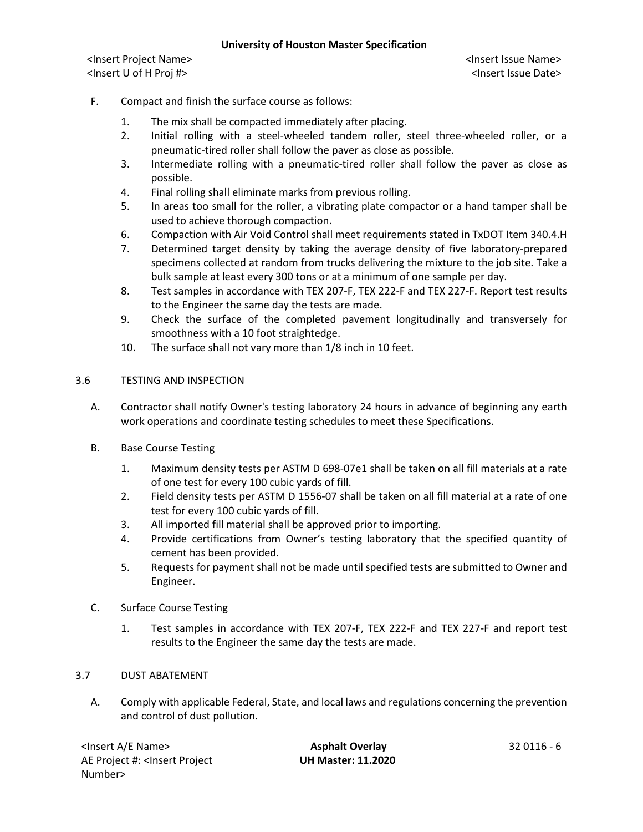<Insert Project Name> <Insert Issue Name> <Insert U of H Proj #> <Insert Issue Date>

# F. Compact and finish the surface course as follows:

- 1. The mix shall be compacted immediately after placing.
- 2. Initial rolling with a steel-wheeled tandem roller, steel three-wheeled roller, or a pneumatic-tired roller shall follow the paver as close as possible.
- 3. Intermediate rolling with a pneumatic-tired roller shall follow the paver as close as possible.
- 4. Final rolling shall eliminate marks from previous rolling.
- 5. In areas too small for the roller, a vibrating plate compactor or a hand tamper shall be used to achieve thorough compaction.
- 6. Compaction with Air Void Control shall meet requirements stated in TxDOT Item 340.4.H
- 7. Determined target density by taking the average density of five laboratory-prepared specimens collected at random from trucks delivering the mixture to the job site. Take a bulk sample at least every 300 tons or at a minimum of one sample per day.
- 8. Test samples in accordance with TEX 207-F, TEX 222-F and TEX 227-F. Report test results to the Engineer the same day the tests are made.
- 9. Check the surface of the completed pavement longitudinally and transversely for smoothness with a 10 foot straightedge.
- 10. The surface shall not vary more than 1/8 inch in 10 feet.

## 3.6 TESTING AND INSPECTION

- A. Contractor shall notify Owner's testing laboratory 24 hours in advance of beginning any earth work operations and coordinate testing schedules to meet these Specifications.
- B. Base Course Testing
	- 1. Maximum density tests per ASTM D 698-07e1 shall be taken on all fill materials at a rate of one test for every 100 cubic yards of fill.
	- 2. Field density tests per ASTM D 1556-07 shall be taken on all fill material at a rate of one test for every 100 cubic yards of fill.
	- 3. All imported fill material shall be approved prior to importing.
	- 4. Provide certifications from Owner's testing laboratory that the specified quantity of cement has been provided.
	- 5. Requests for payment shall not be made until specified tests are submitted to Owner and Engineer.
- C. Surface Course Testing
	- 1. Test samples in accordance with TEX 207-F, TEX 222-F and TEX 227-F and report test results to the Engineer the same day the tests are made.

## 3.7 DUST ABATEMENT

A. Comply with applicable Federal, State, and local laws and regulations concerning the prevention and control of dust pollution.

| <lnsert a="" e="" name=""></lnsert>                                                          | <b>Asphalt Overlay</b>    | 32 0116 - 6 |
|----------------------------------------------------------------------------------------------|---------------------------|-------------|
| AE Project #: <lnsert project<="" td=""><td><b>UH Master: 11.2020</b></td><td></td></lnsert> | <b>UH Master: 11.2020</b> |             |
| Number>                                                                                      |                           |             |